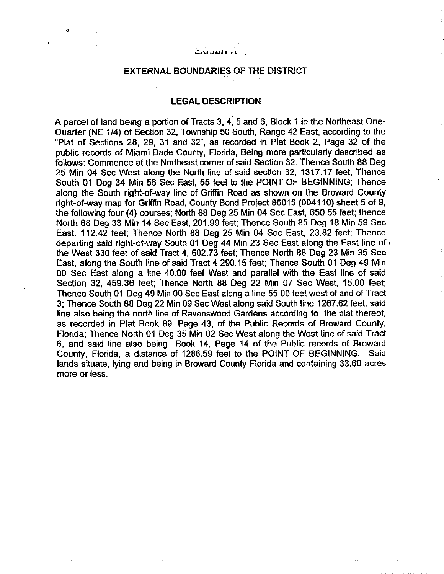#### і Агій**о**н А

,

### EXTERNAL BOUNDARIES OF THE DISTRICT

### **LEGAL DESCRIPTION**

A parcel of land being a portion of Tracts 3, 4, 5 and 6, Block 1 in the Northeast One-Quarter (NE 1/4) of Section 32, Township 50 South, Range 42 East, according to the "Plat of Sections 28, 29, 31 and 32", as recorded in Plat Book 2, Page 32 of the public records of Miami-Dade County, Florida, Being more particularly described as follows: Commence at the Northeast corner of said Section 32: Thence South 88 Deg 25 Min 04 Sec West along the North line of said section 32, 1317.17 feet, Thence South 01 Deg 34 Min 56 Sec East, 55 feet to the POINT OF BEGINNING; Thence along the South right-of-way line of Griffin Road as shown on the Broward County right-of-way map for Griffin Road, County Bond Project 86015 (004110) sheet 5 of 9, the following four (4) courses; North 88 Deg 25 Min 04 Sec East, 650.55 feet; thence North 88 Deg 33 Min 14 Sec East, 201.99 feet; Thence South 85 Deg 18 Min 59 Sec East, 112.42 feet; Thence North 88 Deg 25 Min 04 Sec East, 23.82 feet; Thence departing said right-of-way South 01 Deg 44 Min 23 Sec East along the East line of  $\cdot$ the West 330 feet of said Tract 4, 602.73 feet; Thence North 88 Deg 23 Min 35 Sec East, along the South line of said Tract 4 290.15 feet; Thence South 01 Deg 49 Min 00 Sec East along a line 40.00 feet West and parallel with the East line of said Section 32, 459.36 feet; Thence North 88 Deg 22 Min 07 Sec West, 15.00 feet; Thence South 01 Deg 49 Min 00 Sec East along a line 55.00 feet west of and of Tract 3; Thence South 88 Deg 22 Min 09 Sec West along said South line 1267.62 feet, said line also being the north line of Ravenswood Gardens according to the plat thereof, as recorded in Plat Book 89, Page 43, of the Public Records of Broward County, Florida; Thence North 01 Deg 35 Min 02 Sec West along the West line of said Tract 6, and said line also being Book 14, Page 14 of the Public records of Broward County, Florida, a distance of 1286.59 feet to the POINT OF BEGINNING. Said lands situate, lying and being in Broward County Florida and containing 33.60 acres more or less.